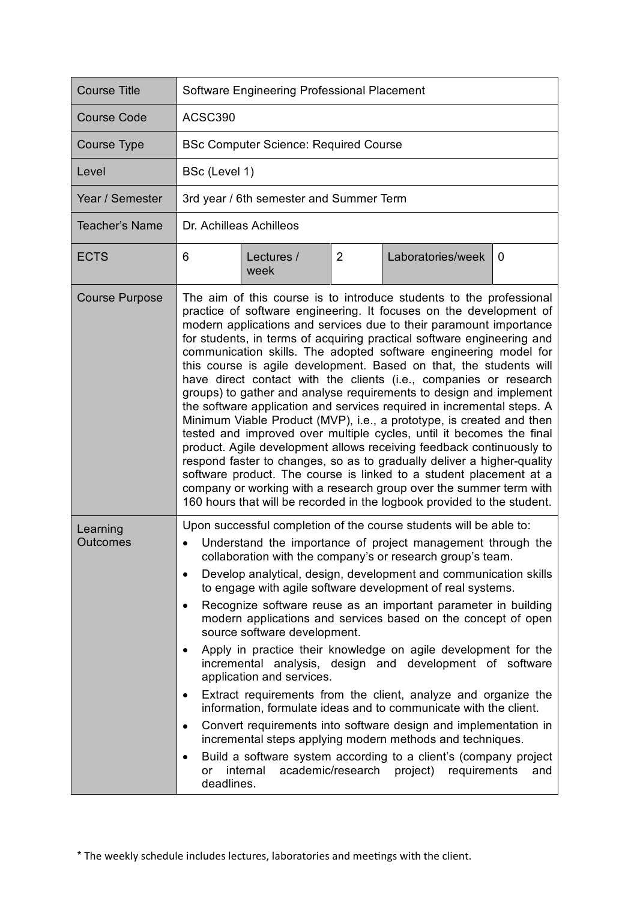| <b>Course Title</b>         | Software Engineering Professional Placement                                                                                                                                                                                                                                                                                                                                                                                                                                                                                                                                                                                                                                                                                                                                                                                                                                                                                                                                                                                                                                                                                                                                       |                    |                |                   |   |  |
|-----------------------------|-----------------------------------------------------------------------------------------------------------------------------------------------------------------------------------------------------------------------------------------------------------------------------------------------------------------------------------------------------------------------------------------------------------------------------------------------------------------------------------------------------------------------------------------------------------------------------------------------------------------------------------------------------------------------------------------------------------------------------------------------------------------------------------------------------------------------------------------------------------------------------------------------------------------------------------------------------------------------------------------------------------------------------------------------------------------------------------------------------------------------------------------------------------------------------------|--------------------|----------------|-------------------|---|--|
| <b>Course Code</b>          | ACSC390                                                                                                                                                                                                                                                                                                                                                                                                                                                                                                                                                                                                                                                                                                                                                                                                                                                                                                                                                                                                                                                                                                                                                                           |                    |                |                   |   |  |
| Course Type                 | <b>BSc Computer Science: Required Course</b>                                                                                                                                                                                                                                                                                                                                                                                                                                                                                                                                                                                                                                                                                                                                                                                                                                                                                                                                                                                                                                                                                                                                      |                    |                |                   |   |  |
| Level                       | BSc (Level 1)                                                                                                                                                                                                                                                                                                                                                                                                                                                                                                                                                                                                                                                                                                                                                                                                                                                                                                                                                                                                                                                                                                                                                                     |                    |                |                   |   |  |
| Year / Semester             | 3rd year / 6th semester and Summer Term                                                                                                                                                                                                                                                                                                                                                                                                                                                                                                                                                                                                                                                                                                                                                                                                                                                                                                                                                                                                                                                                                                                                           |                    |                |                   |   |  |
| <b>Teacher's Name</b>       | Dr. Achilleas Achilleos                                                                                                                                                                                                                                                                                                                                                                                                                                                                                                                                                                                                                                                                                                                                                                                                                                                                                                                                                                                                                                                                                                                                                           |                    |                |                   |   |  |
| <b>ECTS</b>                 | 6                                                                                                                                                                                                                                                                                                                                                                                                                                                                                                                                                                                                                                                                                                                                                                                                                                                                                                                                                                                                                                                                                                                                                                                 | Lectures /<br>week | $\overline{2}$ | Laboratories/week | 0 |  |
| <b>Course Purpose</b>       | The aim of this course is to introduce students to the professional<br>practice of software engineering. It focuses on the development of<br>modern applications and services due to their paramount importance<br>for students, in terms of acquiring practical software engineering and<br>communication skills. The adopted software engineering model for<br>this course is agile development. Based on that, the students will<br>have direct contact with the clients (i.e., companies or research<br>groups) to gather and analyse requirements to design and implement<br>the software application and services required in incremental steps. A<br>Minimum Viable Product (MVP), i.e., a prototype, is created and then<br>tested and improved over multiple cycles, until it becomes the final<br>product. Agile development allows receiving feedback continuously to<br>respond faster to changes, so as to gradually deliver a higher-quality<br>software product. The course is linked to a student placement at a<br>company or working with a research group over the summer term with<br>160 hours that will be recorded in the logbook provided to the student. |                    |                |                   |   |  |
| Learning<br><b>Outcomes</b> | Upon successful completion of the course students will be able to:<br>Understand the importance of project management through the<br>collaboration with the company's or research group's team.<br>Develop analytical, design, development and communication skills<br>$\bullet$<br>to engage with agile software development of real systems.<br>Recognize software reuse as an important parameter in building<br>$\bullet$<br>modern applications and services based on the concept of open<br>source software development.<br>Apply in practice their knowledge on agile development for the<br>٠<br>incremental analysis, design and development of software<br>application and services.<br>Extract requirements from the client, analyze and organize the<br>٠<br>information, formulate ideas and to communicate with the client.<br>Convert requirements into software design and implementation in<br>٠<br>incremental steps applying modern methods and techniques.<br>Build a software system according to a client's (company project<br>٠<br>internal<br>academic/research project) requirements<br>and<br>or<br>deadlines.                                         |                    |                |                   |   |  |

\* The weekly schedule includes lectures, laboratories and meetings with the client.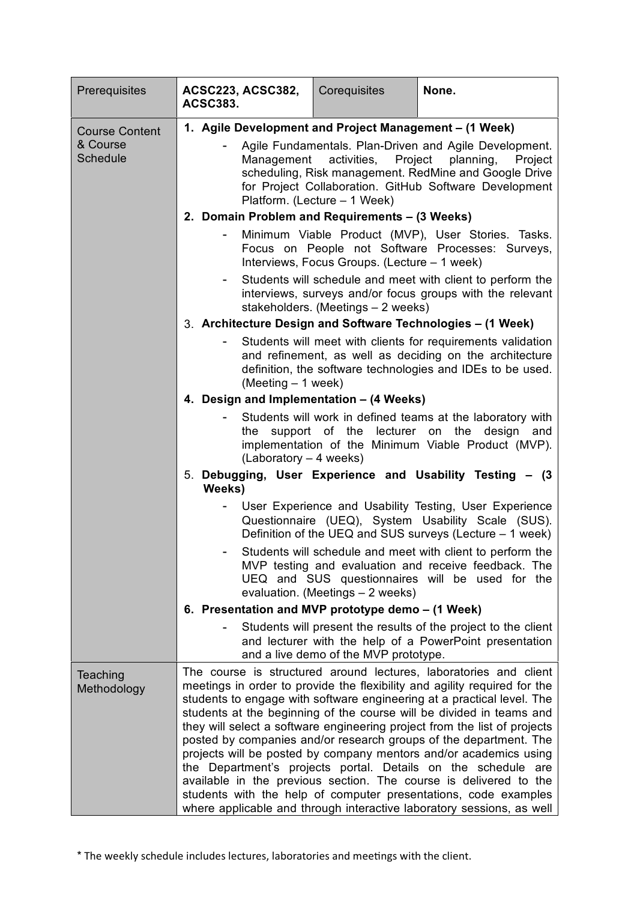| Prerequisites               | <b>ACSC223, ACSC382,</b><br><b>ACSC383.</b>                                                                                                                                                                                                                                                                                                                                                                                                                                                                                                                                                                                                                                                                                                                                                               | Corequisites                                 | None.                                                                                                                                                                    |  |  |  |
|-----------------------------|-----------------------------------------------------------------------------------------------------------------------------------------------------------------------------------------------------------------------------------------------------------------------------------------------------------------------------------------------------------------------------------------------------------------------------------------------------------------------------------------------------------------------------------------------------------------------------------------------------------------------------------------------------------------------------------------------------------------------------------------------------------------------------------------------------------|----------------------------------------------|--------------------------------------------------------------------------------------------------------------------------------------------------------------------------|--|--|--|
| <b>Course Content</b>       | 1. Agile Development and Project Management - (1 Week)                                                                                                                                                                                                                                                                                                                                                                                                                                                                                                                                                                                                                                                                                                                                                    |                                              |                                                                                                                                                                          |  |  |  |
| & Course<br><b>Schedule</b> | Agile Fundamentals. Plan-Driven and Agile Development.<br>Management activities, Project planning,<br>Project<br>scheduling, Risk management. RedMine and Google Drive<br>for Project Collaboration. GitHub Software Development<br>Platform. (Lecture - 1 Week)                                                                                                                                                                                                                                                                                                                                                                                                                                                                                                                                          |                                              |                                                                                                                                                                          |  |  |  |
|                             | 2. Domain Problem and Requirements - (3 Weeks)                                                                                                                                                                                                                                                                                                                                                                                                                                                                                                                                                                                                                                                                                                                                                            |                                              |                                                                                                                                                                          |  |  |  |
|                             | ۰.                                                                                                                                                                                                                                                                                                                                                                                                                                                                                                                                                                                                                                                                                                                                                                                                        | Interviews, Focus Groups. (Lecture - 1 week) | Minimum Viable Product (MVP), User Stories. Tasks.<br>Focus on People not Software Processes: Surveys,                                                                   |  |  |  |
|                             | Students will schedule and meet with client to perform the<br>interviews, surveys and/or focus groups with the relevant<br>stakeholders. (Meetings - 2 weeks)                                                                                                                                                                                                                                                                                                                                                                                                                                                                                                                                                                                                                                             |                                              |                                                                                                                                                                          |  |  |  |
|                             | 3. Architecture Design and Software Technologies - (1 Week)                                                                                                                                                                                                                                                                                                                                                                                                                                                                                                                                                                                                                                                                                                                                               |                                              |                                                                                                                                                                          |  |  |  |
|                             | Students will meet with clients for requirements validation<br>and refinement, as well as deciding on the architecture<br>definition, the software technologies and IDEs to be used.<br>$(Meeting - 1 week)$                                                                                                                                                                                                                                                                                                                                                                                                                                                                                                                                                                                              |                                              |                                                                                                                                                                          |  |  |  |
|                             | 4. Design and Implementation - (4 Weeks)                                                                                                                                                                                                                                                                                                                                                                                                                                                                                                                                                                                                                                                                                                                                                                  |                                              |                                                                                                                                                                          |  |  |  |
|                             | the<br>$(Laboratory - 4 weeks)$                                                                                                                                                                                                                                                                                                                                                                                                                                                                                                                                                                                                                                                                                                                                                                           |                                              | Students will work in defined teams at the laboratory with<br>support of the lecturer on the design<br>and<br>implementation of the Minimum Viable Product (MVP).        |  |  |  |
|                             | 5. Debugging, User Experience and Usability Testing - (3<br>Weeks)                                                                                                                                                                                                                                                                                                                                                                                                                                                                                                                                                                                                                                                                                                                                        |                                              |                                                                                                                                                                          |  |  |  |
|                             |                                                                                                                                                                                                                                                                                                                                                                                                                                                                                                                                                                                                                                                                                                                                                                                                           |                                              | User Experience and Usability Testing, User Experience<br>Questionnaire (UEQ), System Usability Scale (SUS).<br>Definition of the UEQ and SUS surveys (Lecture - 1 week) |  |  |  |
|                             |                                                                                                                                                                                                                                                                                                                                                                                                                                                                                                                                                                                                                                                                                                                                                                                                           | evaluation. (Meetings - 2 weeks)             | Students will schedule and meet with client to perform the<br>MVP testing and evaluation and receive feedback. The<br>UEQ and SUS questionnaires will be used for the    |  |  |  |
|                             | 6. Presentation and MVP prototype demo - (1 Week)                                                                                                                                                                                                                                                                                                                                                                                                                                                                                                                                                                                                                                                                                                                                                         |                                              |                                                                                                                                                                          |  |  |  |
|                             |                                                                                                                                                                                                                                                                                                                                                                                                                                                                                                                                                                                                                                                                                                                                                                                                           | and a live demo of the MVP prototype.        | Students will present the results of the project to the client<br>and lecturer with the help of a PowerPoint presentation                                                |  |  |  |
| Teaching<br>Methodology     | The course is structured around lectures, laboratories and client<br>meetings in order to provide the flexibility and agility required for the<br>students to engage with software engineering at a practical level. The<br>students at the beginning of the course will be divided in teams and<br>they will select a software engineering project from the list of projects<br>posted by companies and/or research groups of the department. The<br>projects will be posted by company mentors and/or academics using<br>the Department's projects portal. Details on the schedule are<br>available in the previous section. The course is delivered to the<br>students with the help of computer presentations, code examples<br>where applicable and through interactive laboratory sessions, as well |                                              |                                                                                                                                                                          |  |  |  |

\* The weekly schedule includes lectures, laboratories and meetings with the client.